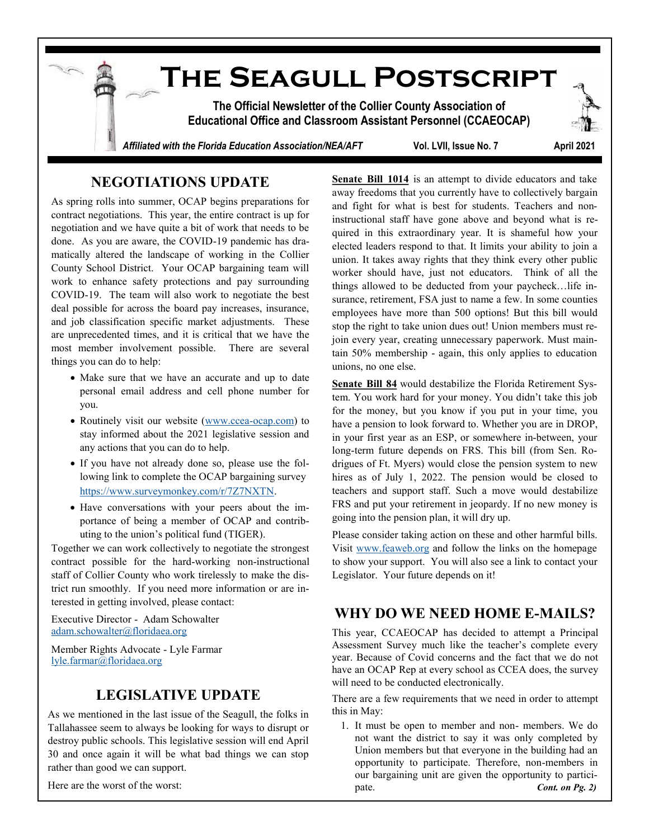

## **NEGOTIATIONS UPDATE**

As spring rolls into summer, OCAP begins preparations for contract negotiations. This year, the entire contract is up for negotiation and we have quite a bit of work that needs to be done. As you are aware, the COVID-19 pandemic has dramatically altered the landscape of working in the Collier County School District. Your OCAP bargaining team will work to enhance safety protections and pay surrounding COVID-19. The team will also work to negotiate the best deal possible for across the board pay increases, insurance, and job classification specific market adjustments. These are unprecedented times, and it is critical that we have the most member involvement possible. There are several things you can do to help:

- Make sure that we have an accurate and up to date personal email address and cell phone number for you.
- Routinely visit our website (www.ccea-[ocap.com\)](http://www.ccea-ocap.com) to stay informed about the 2021 legislative session and any actions that you can do to help.
- If you have not already done so, please use the following link to complete the OCAP bargaining survey [https://www.surveymonkey.com/r/7Z7NXTN.](https://www.surveymonkey.com/r/7Z7NXTN)
- Have conversations with your peers about the importance of being a member of OCAP and contributing to the union's political fund (TIGER).

Together we can work collectively to negotiate the strongest contract possible for the hard-working non-instructional staff of Collier County who work tirelessly to make the district run smoothly. If you need more information or are interested in getting involved, please contact:

Executive Director - Adam Schowalter [adam.schowalter@floridaea.org](mailto:adam.schowalter@floridaea.org) 

Member Rights Advocate - Lyle Farmar [lyle.farmar@floridaea.org](mailto:lyle.farmar@floridaea.org)

## **LEGISLATIVE UPDATE**

As we mentioned in the last issue of the Seagull, the folks in Tallahassee seem to always be looking for ways to disrupt or destroy public schools. This legislative session will end April 30 and once again it will be what bad things we can stop rather than good we can support.

Here are the worst of the worst:

**Senate Bill 1014** is an attempt to divide educators and take away freedoms that you currently have to collectively bargain and fight for what is best for students. Teachers and noninstructional staff have gone above and beyond what is required in this extraordinary year. It is shameful how your elected leaders respond to that. It limits your ability to join a union. It takes away rights that they think every other public worker should have, just not educators. Think of all the things allowed to be deducted from your paycheck…life insurance, retirement, FSA just to name a few. In some counties employees have more than 500 options! But this bill would stop the right to take union dues out! Union members must rejoin every year, creating unnecessary paperwork. Must maintain 50% membership - again, this only applies to education unions, no one else.

**Senate Bill 84** would destabilize the Florida Retirement System. You work hard for your money. You didn't take this job for the money, but you know if you put in your time, you have a pension to look forward to. Whether you are in DROP, in your first year as an ESP, or somewhere in-between, your long-term future depends on FRS. This bill (from Sen. Rodrigues of Ft. Myers) would close the pension system to new hires as of July 1, 2022. The pension would be closed to teachers and support staff. Such a move would destabilize FRS and put your retirement in jeopardy. If no new money is going into the pension plan, it will dry up.

Please consider taking action on these and other harmful bills. Visit [www.feaweb.org](https://feaweb.org) and follow the links on the homepage to show your support. You will also see a link to contact your Legislator. Your future depends on it!

## **WHY DO WE NEED HOME E-MAILS?**

This year, CCAEOCAP has decided to attempt a Principal Assessment Survey much like the teacher's complete every year. Because of Covid concerns and the fact that we do not have an OCAP Rep at every school as CCEA does, the survey will need to be conducted electronically.

There are a few requirements that we need in order to attempt this in May:

1. It must be open to member and non- members. We do not want the district to say it was only completed by Union members but that everyone in the building had an opportunity to participate. Therefore, non-members in our bargaining unit are given the opportunity to participate. *Cont. on Pg. 2)*